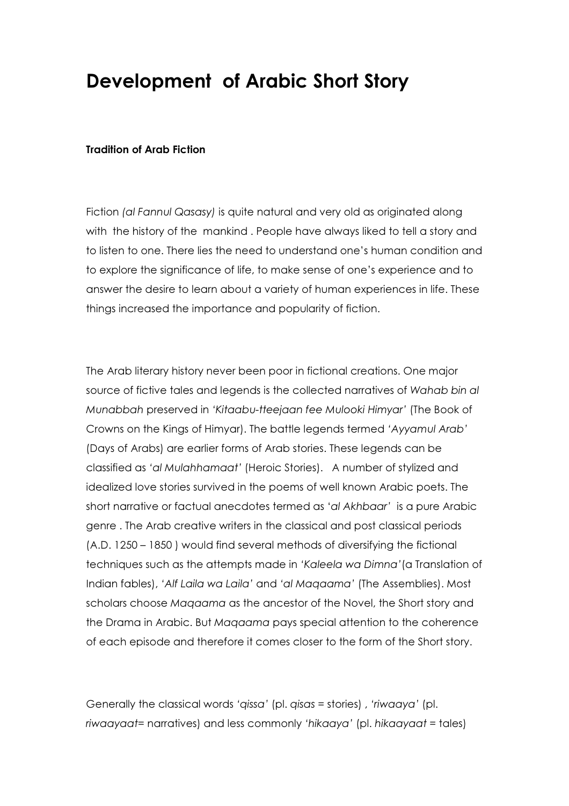# Development of Arabic Short Story

### Tradition of Arab Fiction

Fiction (al Fannul Qasasy) is quite natural and very old as originated along with the history of the mankind . People have always liked to tell a story and to listen to one. There lies the need to understand one's human condition and to explore the significance of life, to make sense of one's experience and to answer the desire to learn about a variety of human experiences in life. These things increased the importance and popularity of fiction.

The Arab literary history never been poor in fictional creations. One major source of fictive tales and legends is the collected narratives of Wahab bin al Munabbah preserved in 'Kitaabu-tteejaan fee Mulooki Himyar' (The Book of Crowns on the Kings of Himyar). The battle legends termed 'Ayyamul Arab' (Days of Arabs) are earlier forms of Arab stories. These legends can be classified as 'al Mulahhamaat' (Heroic Stories). A number of stylized and idealized love stories survived in the poems of well known Arabic poets. The short narrative or factual anecdotes termed as 'al Akhbaar' is a pure Arabic genre . The Arab creative writers in the classical and post classical periods (A.D. 1250 – 1850 ) would find several methods of diversifying the fictional techniques such as the attempts made in 'Kaleela wa Dimna'(a Translation of Indian fables), 'Alf Laila wa Laila' and 'al Maqaama' (The Assemblies). Most scholars choose Maqaama as the ancestor of the Novel, the Short story and the Drama in Arabic. But Maqaama pays special attention to the coherence of each episode and therefore it comes closer to the form of the Short story.

Generally the classical words 'qissa' (pl. qisas = stories) , 'riwaaya' (pl. riwaayaat= narratives) and less commonly 'hikaaya' (pl. hikaayaat = tales)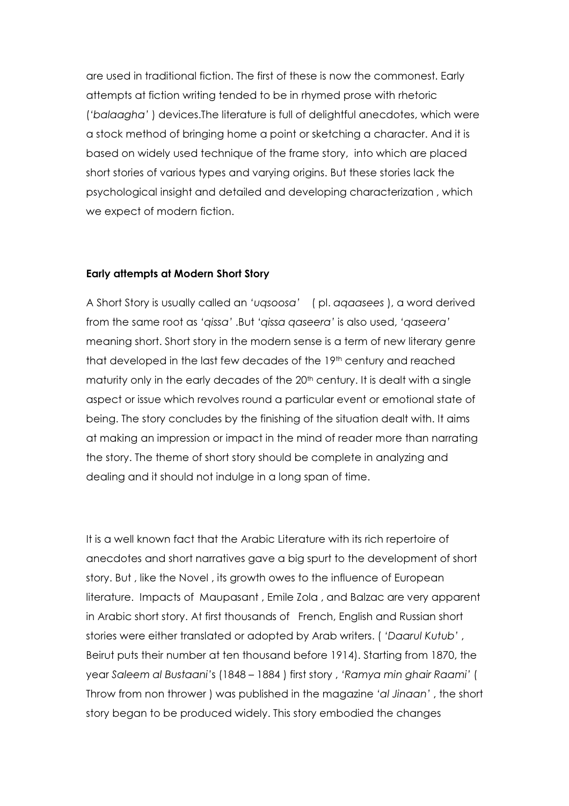are used in traditional fiction. The first of these is now the commonest. Early attempts at fiction writing tended to be in rhymed prose with rhetoric ('balaagha' ) devices.The literature is full of delightful anecdotes, which were a stock method of bringing home a point or sketching a character. And it is based on widely used technique of the frame story, into which are placed short stories of various types and varying origins. But these stories lack the psychological insight and detailed and developing characterization , which we expect of modern fiction.

# Early attempts at Modern Short Story

A Short Story is usually called an 'uqsoosa' ( pl. aqaasees ), a word derived from the same root as 'qissa' .But 'qissa qaseera' is also used, 'qaseera' meaning short. Short story in the modern sense is a term of new literary genre that developed in the last few decades of the 19<sup>th</sup> century and reached maturity only in the early decades of the 20<sup>th</sup> century. It is dealt with a single aspect or issue which revolves round a particular event or emotional state of being. The story concludes by the finishing of the situation dealt with. It aims at making an impression or impact in the mind of reader more than narrating the story. The theme of short story should be complete in analyzing and dealing and it should not indulge in a long span of time.

It is a well known fact that the Arabic Literature with its rich repertoire of anecdotes and short narratives gave a big spurt to the development of short story. But , like the Novel , its growth owes to the influence of European literature. Impacts of Maupasant , Emile Zola , and Balzac are very apparent in Arabic short story. At first thousands of French, English and Russian short stories were either translated or adopted by Arab writers. ( 'Daarul Kutub' , Beirut puts their number at ten thousand before 1914). Starting from 1870, the year Saleem al Bustaani's (1848 – 1884 ) first story , 'Ramya min ghair Raami' ( Throw from non thrower ) was published in the magazine 'al Jinaan' , the short story began to be produced widely. This story embodied the changes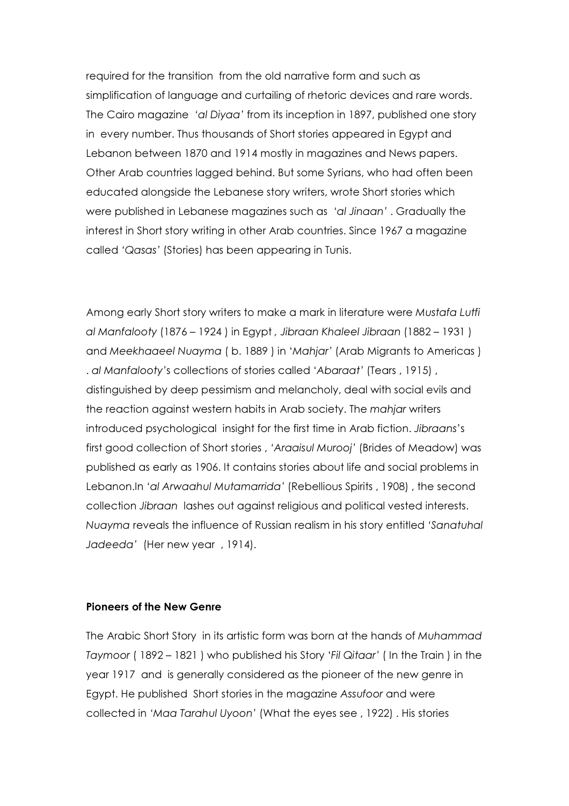required for the transition from the old narrative form and such as simplification of language and curtailing of rhetoric devices and rare words. The Cairo magazine 'al Diyaa' from its inception in 1897, published one story in every number. Thus thousands of Short stories appeared in Egypt and Lebanon between 1870 and 1914 mostly in magazines and News papers. Other Arab countries lagged behind. But some Syrians, who had often been educated alongside the Lebanese story writers, wrote Short stories which were published in Lebanese magazines such as 'al Jinaan' . Gradually the interest in Short story writing in other Arab countries. Since 1967 a magazine called 'Qasas' (Stories) has been appearing in Tunis.

Among early Short story writers to make a mark in literature were Mustafa Lutfi al Manfalooty (1876 – 1924 ) in Egypt , Jibraan Khaleel Jibraan (1882 – 1931 ) and Meekhaaeel Nuayma ( b. 1889 ) in 'Mahjar' (Arab Migrants to Americas ) . al Manfalooty's collections of stories called 'Abaraat' (Tears , 1915) , distinguished by deep pessimism and melancholy, deal with social evils and the reaction against western habits in Arab society. The mahjar writers introduced psychological insight for the first time in Arab fiction. Jibraans's first good collection of Short stories , 'Araaisul Murooj' (Brides of Meadow) was published as early as 1906. It contains stories about life and social problems in Lebanon.In 'al Arwaahul Mutamarrida' (Rebellious Spirits , 1908) , the second collection Jibraan lashes out against religious and political vested interests. Nuayma reveals the influence of Russian realism in his story entitled 'Sanatuhal Jadeeda' (Her new year , 1914).

### Pioneers of the New Genre

The Arabic Short Story in its artistic form was born at the hands of Muhammad Taymoor ( 1892 – 1821 ) who published his Story 'Fil Qitaar' ( In the Train ) in the year 1917 and is generally considered as the pioneer of the new genre in Egypt. He published Short stories in the magazine Assufoor and were collected in 'Maa Tarahul Uyoon' (What the eyes see , 1922) . His stories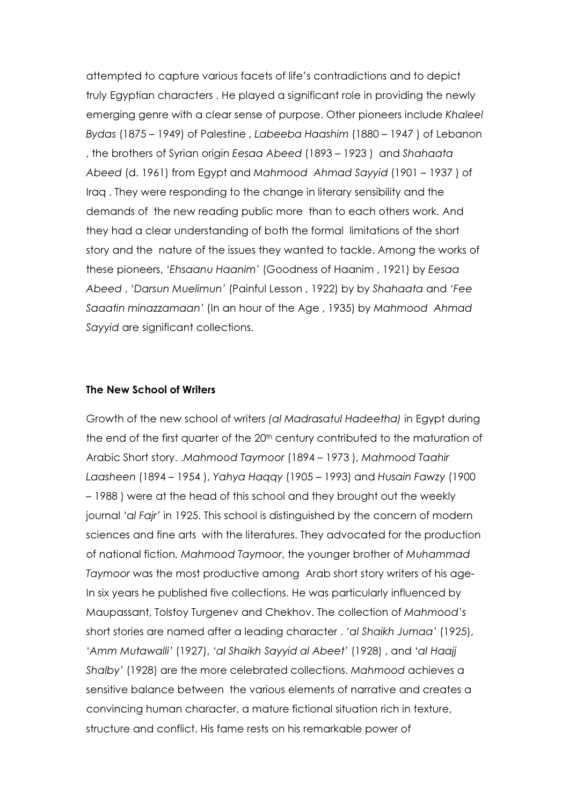attempted to capture various facets of life's contradictions and to depict truly Egyptian characters . He played a significant role in providing the newly emerging genre with a clear sense of purpose. Other pioneers include Khaleel Bydas (1875 – 1949) of Palestine , Labeeba Haashim (1880 – 1947 ) of Lebanon , the brothers of Syrian origin Eesaa Abeed (1893 – 1923 ) and Shahaata Abeed (d. 1961) from Egypt and Mahmood Ahmad Sayyid (1901 – 1937 ) of Iraq . They were responding to the change in literary sensibility and the demands of the new reading public more than to each others work. And they had a clear understanding of both the formal limitations of the short story and the nature of the issues they wanted to tackle. Among the works of these pioneers, 'Ehsaanu Haanim' (Goodness of Haanim , 1921) by Eesaa Abeed , 'Darsun Muelimun' (Painful Lesson , 1922) by by Shahaata and 'Fee Saaatin minazzamaan' (In an hour of the Age , 1935) by Mahmood Ahmad Sayyid are significant collections.

## The New School of Writers

Growth of the new school of writers (al Madrasatul Hadeetha) in Egypt during the end of the first quarter of the 20<sup>th</sup> century contributed to the maturation of Arabic Short story. .Mahmood Taymoor (1894 – 1973 ), Mahmood Taahir Laasheen (1894 – 1954 ), Yahya Haqqy (1905 – 1993) and Husain Fawzy (1900 – 1988 ) were at the head of this school and they brought out the weekly journal 'al Fajr' in 1925. This school is distinguished by the concern of modern sciences and fine arts with the literatures. They advocated for the production of national fiction. Mahmood Taymoor, the younger brother of Muhammad Taymoor was the most productive among Arab short story writers of his age-In six years he published five collections. He was particularly influenced by Maupassant, Tolstoy Turgenev and Chekhov. The collection of Mahmood's short stories are named after a leading character . 'al Shaikh Jumaa' (1925), 'Amm Mutawalli' (1927), 'al Shaikh Sayyid al Abeet' (1928) , and 'al Haajj Shalby' (1928) are the more celebrated collections. Mahmood achieves a sensitive balance between the various elements of narrative and creates a convincing human character, a mature fictional situation rich in texture, structure and conflict. His fame rests on his remarkable power of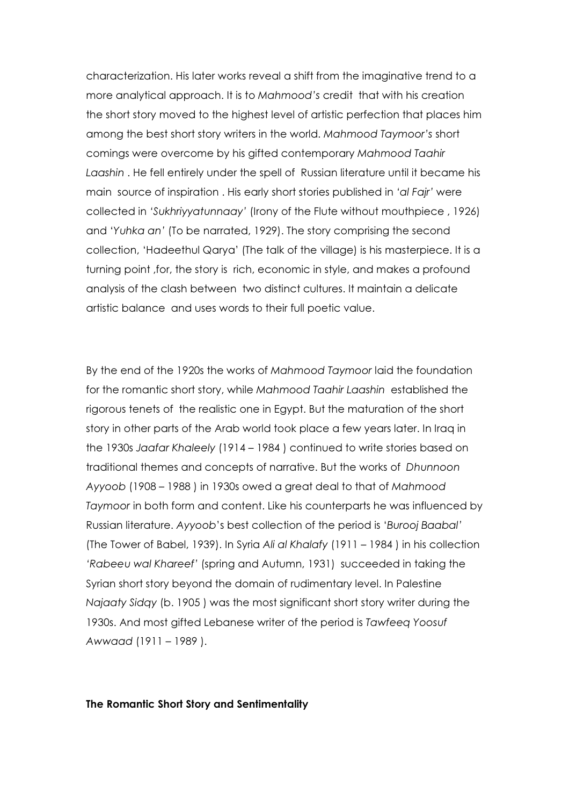characterization. His later works reveal a shift from the imaginative trend to a more analytical approach. It is to Mahmood's credit that with his creation the short story moved to the highest level of artistic perfection that places him among the best short story writers in the world. Mahmood Taymoor's short comings were overcome by his gifted contemporary Mahmood Taahir Laashin . He fell entirely under the spell of Russian literature until it became his main source of inspiration . His early short stories published in 'al Fajr' were collected in 'Sukhriyyatunnaay' (Irony of the Flute without mouthpiece , 1926) and 'Yuhka an' (To be narrated, 1929). The story comprising the second collection, 'Hadeethul Qarya' (The talk of the village) is his masterpiece. It is a turning point ,for, the story is rich, economic in style, and makes a profound analysis of the clash between two distinct cultures. It maintain a delicate artistic balance and uses words to their full poetic value.

By the end of the 1920s the works of Mahmood Taymoor laid the foundation for the romantic short story, while Mahmood Taahir Laashin established the rigorous tenets of the realistic one in Egypt. But the maturation of the short story in other parts of the Arab world took place a few years later. In Iraq in the 1930s Jaafar Khaleely (1914 – 1984 ) continued to write stories based on traditional themes and concepts of narrative. But the works of Dhunnoon Ayyoob (1908 – 1988 ) in 1930s owed a great deal to that of Mahmood Taymoor in both form and content. Like his counterparts he was influenced by Russian literature. Ayyoob's best collection of the period is 'Burooj Baabal' (The Tower of Babel, 1939). In Syria Ali al Khalafy (1911 – 1984 ) in his collection 'Rabeeu wal Khareef' (spring and Autumn, 1931) succeeded in taking the Syrian short story beyond the domain of rudimentary level. In Palestine Najaaty Sidqy (b. 1905 ) was the most significant short story writer during the 1930s. And most gifted Lebanese writer of the period is Tawfeeq Yoosuf Awwaad (1911 – 1989 ).

#### The Romantic Short Story and Sentimentality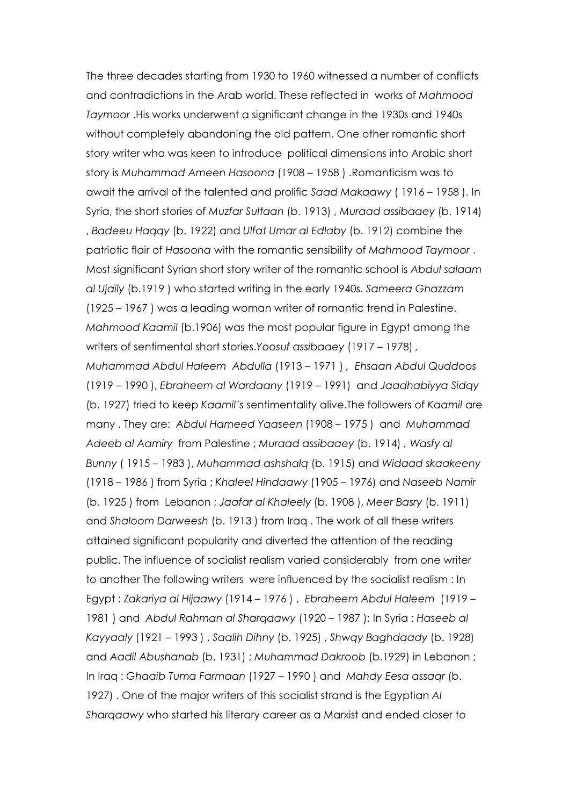The three decades starting from 1930 to 1960 witnessed a number of conflicts and contradictions in the Arab world. These reflected in works of Mahmood Taymoor .His works underwent a significant change in the 1930s and 1940s without completely abandoning the old pattern. One other romantic short story writer who was keen to introduce political dimensions into Arabic short story is Muhammad Ameen Hasoona (1908 – 1958 ) .Romanticism was to await the arrival of the talented and prolific Saad Makaawy ( 1916 – 1958 ). In Syria, the short stories of Muzfar Sultaan (b. 1913) , Muraad assibaaey (b. 1914) , Badeeu Haqqy (b. 1922) and Ulfat Umar al Edlaby (b. 1912) combine the patriotic flair of Hasoona with the romantic sensibility of Mahmood Taymoor . Most significant Syrian short story writer of the romantic school is Abdul salaam al Ujaily (b.1919 ) who started writing in the early 1940s. Sameera Ghazzam (1925 – 1967 ) was a leading woman writer of romantic trend in Palestine. Mahmood Kaamil (b.1906) was the most popular figure in Egypt among the writers of sentimental short stories.Yoosuf assibaaey (1917 – 1978) , Muhammad Abdul Haleem Abdulla (1913 – 1971 ) , Ehsaan Abdul Quddoos (1919 – 1990 ), Ebraheem al Wardaany (1919 – 1991) and Jaadhabiyya Sidqy (b. 1927) tried to keep Kaamil's sentimentality alive.The followers of Kaamil are many . They are: Abdul Hameed Yaaseen (1908 – 1975 ) and Muhammad Adeeb al Aamiry from Palestine ; Muraad assibaaey (b. 1914) , Wasfy al Bunny ( 1915 – 1983 ), Muhammad ashshalq (b. 1915) and Widaad skaakeeny (1918 – 1986 ) from Syria ; Khaleel Hindaawy (1905 – 1976) and Naseeb Namir (b. 1925 ) from Lebanon ; Jaafar al Khaleely (b. 1908 ), Meer Basry (b. 1911) and Shaloom Darweesh (b. 1913 ) from Iraq . The work of all these writers attained significant popularity and diverted the attention of the reading public. The influence of socialist realism varied considerably from one writer to another The following writers were influenced by the socialist realism : In Egypt : Zakariya al Hijaawy (1914 – 1976 ) , Ebraheem Abdul Haleem (1919 – 1981 ) and Abdul Rahman al Sharqaawy (1920 – 1987 ); In Syria : Haseeb al Kayyaaly (1921 – 1993 ) , Saalih Dihny (b. 1925) , Shwqy Baghdaady (b. 1928) and Aadil Abushanab (b. 1931) ; Muhammad Dakroob (b.1929) in Lebanon ; In Iraq : Ghaaib Tuma Farmaan (1927 – 1990 ) and Mahdy Eesa assaqr (b. 1927) . One of the major writers of this socialist strand is the Egyptian Al Sharqaawy who started his literary career as a Marxist and ended closer to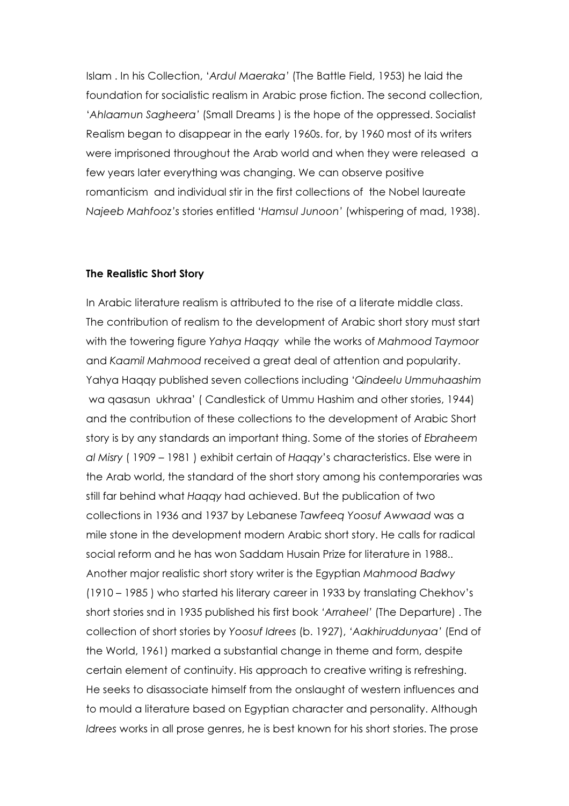Islam . In his Collection, 'Ardul Maeraka' (The Battle Field, 1953) he laid the foundation for socialistic realism in Arabic prose fiction. The second collection, 'Ahlaamun Sagheera' (Small Dreams ) is the hope of the oppressed. Socialist Realism began to disappear in the early 1960s. for, by 1960 most of its writers were imprisoned throughout the Arab world and when they were released a few years later everything was changing. We can observe positive romanticism and individual stir in the first collections of the Nobel laureate Najeeb Mahfooz's stories entitled 'Hamsul Junoon' (whispering of mad, 1938).

#### The Realistic Short Story

In Arabic literature realism is attributed to the rise of a literate middle class. The contribution of realism to the development of Arabic short story must start with the towering figure Yahya Haqqy while the works of Mahmood Taymoor and Kaamil Mahmood received a great deal of attention and popularity. Yahya Haqqy published seven collections including 'Qindeelu Ummuhaashim wa qasasun ukhraa' ( Candlestick of Ummu Hashim and other stories, 1944) and the contribution of these collections to the development of Arabic Short story is by any standards an important thing. Some of the stories of Ebraheem al Misry ( 1909 – 1981 ) exhibit certain of Haqqy's characteristics. Else were in the Arab world, the standard of the short story among his contemporaries was still far behind what Haqqy had achieved. But the publication of two collections in 1936 and 1937 by Lebanese Tawfeeq Yoosuf Awwaad was a mile stone in the development modern Arabic short story. He calls for radical social reform and he has won Saddam Husain Prize for literature in 1988.. Another major realistic short story writer is the Egyptian Mahmood Badwy (1910 – 1985 ) who started his literary career in 1933 by translating Chekhov's short stories snd in 1935 published his first book 'Arraheel' (The Departure) . The collection of short stories by Yoosuf Idrees (b. 1927), 'Aakhiruddunyaa' (End of the World, 1961) marked a substantial change in theme and form, despite certain element of continuity. His approach to creative writing is refreshing. He seeks to disassociate himself from the onslaught of western influences and to mould a literature based on Egyptian character and personality. Although Idrees works in all prose genres, he is best known for his short stories. The prose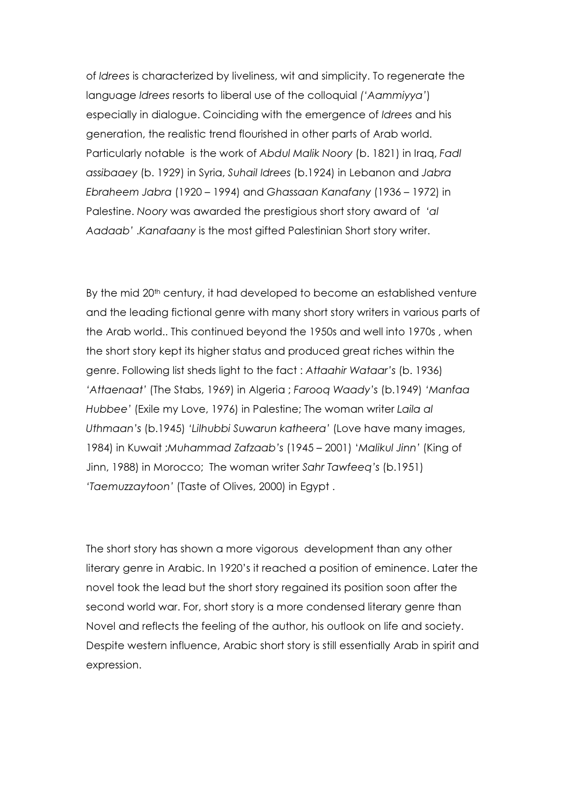of Idrees is characterized by liveliness, wit and simplicity. To regenerate the language Idrees resorts to liberal use of the colloquial ('Aammiyya') especially in dialogue. Coinciding with the emergence of Idrees and his generation, the realistic trend flourished in other parts of Arab world. Particularly notable is the work of Abdul Malik Noory (b. 1821) in Iraq, Fadl assibaaey (b. 1929) in Syria, Suhail Idrees (b.1924) in Lebanon and Jabra Ebraheem Jabra (1920 – 1994) and Ghassaan Kanafany (1936 – 1972) in Palestine. Noory was awarded the prestigious short story award of 'al Aadaab' .Kanafaany is the most gifted Palestinian Short story writer.

By the mid 20<sup>th</sup> century, it had developed to become an established venture and the leading fictional genre with many short story writers in various parts of the Arab world.. This continued beyond the 1950s and well into 1970s , when the short story kept its higher status and produced great riches within the genre. Following list sheds light to the fact : Attaahir Wataar's (b. 1936) 'Attaenaat' (The Stabs, 1969) in Algeria ; Farooq Waady's (b.1949) 'Manfaa Hubbee' (Exile my Love, 1976) in Palestine; The woman writer Laila al Uthmaan's (b.1945) 'Lilhubbi Suwarun katheera' (Love have many images, 1984) in Kuwait ;Muhammad Zafzaab's (1945 – 2001) 'Malikul Jinn' (King of Jinn, 1988) in Morocco; The woman writer Sahr Tawfeeq's (b.1951) 'Taemuzzaytoon' (Taste of Olives, 2000) in Egypt .

The short story has shown a more vigorous development than any other literary genre in Arabic. In 1920's it reached a position of eminence. Later the novel took the lead but the short story regained its position soon after the second world war. For, short story is a more condensed literary genre than Novel and reflects the feeling of the author, his outlook on life and society. Despite western influence, Arabic short story is still essentially Arab in spirit and expression.